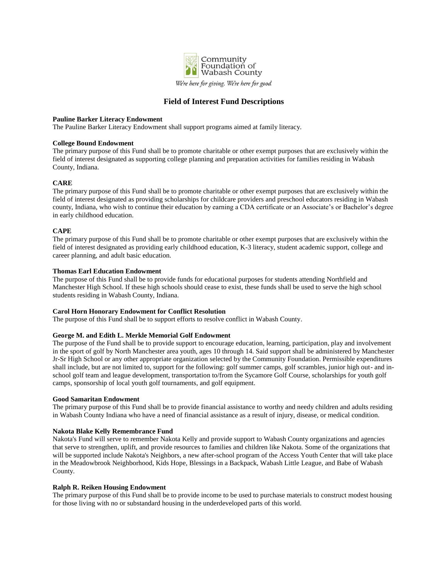

# **Field of Interest Fund Descriptions**

#### **Pauline Barker Literacy Endowment**

The Pauline Barker Literacy Endowment shall support programs aimed at family literacy.

#### **College Bound Endowment**

The primary purpose of this Fund shall be to promote charitable or other exempt purposes that are exclusively within the field of interest designated as supporting college planning and preparation activities for families residing in Wabash County, Indiana.

## **CARE**

The primary purpose of this Fund shall be to promote charitable or other exempt purposes that are exclusively within the field of interest designated as providing scholarships for childcare providers and preschool educators residing in Wabash county, Indiana, who wish to continue their education by earning a CDA certificate or an Associate's or Bachelor's degree in early childhood education.

## **CAPE**

The primary purpose of this Fund shall be to promote charitable or other exempt purposes that are exclusively within the field of interest designated as providing early childhood education, K-3 literacy, student academic support, college and career planning, and adult basic education.

## **Thomas Earl Education Endowment**

The purpose of this Fund shall be to provide funds for educational purposes for students attending Northfield and Manchester High School. If these high schools should cease to exist, these funds shall be used to serve the high school students residing in Wabash County, Indiana.

#### **Carol Horn Honorary Endowment for Conflict Resolution**

The purpose of this Fund shall be to support efforts to resolve conflict in Wabash County.

#### **George M. and Edith L. Merkle Memorial Golf Endowment**

The purpose of the Fund shall be to provide support to encourage education, learning, participation, play and involvement in the sport of golf by North Manchester area youth, ages 10 through 14. Said support shall be administered by Manchester Jr-Sr High School or any other appropriate organization selected by the Community Foundation. Permissible expenditures shall include, but are not limited to, support for the following: golf summer camps, golf scrambles, junior high out- and inschool golf team and league development, transportation to/from the Sycamore Golf Course, scholarships for youth golf camps, sponsorship of local youth golf tournaments, and golf equipment.

## **Good Samaritan Endowment**

The primary purpose of this Fund shall be to provide financial assistance to worthy and needy children and adults residing in Wabash County Indiana who have a need of financial assistance as a result of injury, disease, or medical condition.

## **Nakota Blake Kelly Remembrance Fund**

Nakota's Fund will serve to remember Nakota Kelly and provide support to Wabash County organizations and agencies that serve to strengthen, uplift, and provide resources to families and children like Nakota. Some of the organizations that will be supported include Nakota's Neighbors, a new after-school program of the Access Youth Center that will take place in the Meadowbrook Neighborhood, Kids Hope, Blessings in a Backpack, Wabash Little League, and Babe of Wabash County.

#### **Ralph R. Reiken Housing Endowment**

The primary purpose of this Fund shall be to provide income to be used to purchase materials to construct modest housing for those living with no or substandard housing in the underdeveloped parts of this world.